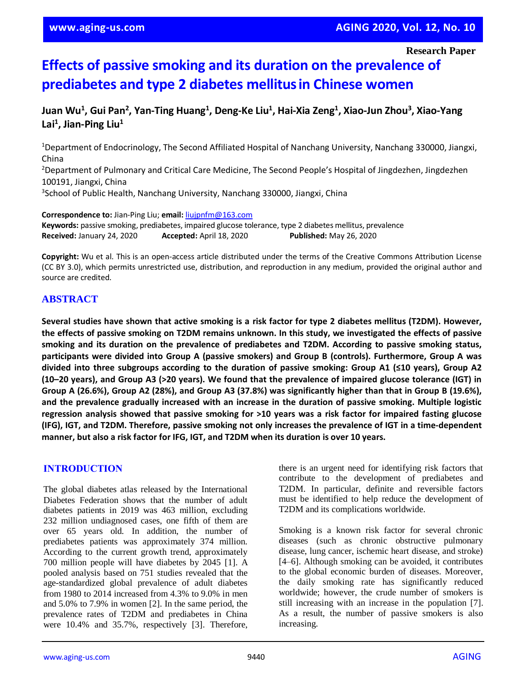**Research Paper**

# **Effects of passive smoking and its duration on the prevalence of prediabetes and type 2 diabetes mellitusin Chinese women**

**Juan Wu<sup>1</sup> , Gui Pan<sup>2</sup> , Yan-Ting Huang<sup>1</sup> , Deng-Ke Liu<sup>1</sup> , Hai-Xia Zeng<sup>1</sup> , Xiao-Jun Zhou<sup>3</sup> , Xiao-Yang Lai<sup>1</sup> , Jian-Ping Liu<sup>1</sup>**

<sup>1</sup>Department of Endocrinology, The Second Affiliated Hospital of Nanchang University, Nanchang 330000, Jiangxi, China

<sup>2</sup>Department of Pulmonary and Critical Care Medicine, The Second People's Hospital of Jingdezhen, Jingdezhen 100191, Jiangxi, China

3 School of Public Health, Nanchang University, Nanchang 330000, Jiangxi, China

**Correspondence to:** Jian-Ping Liu; **email:** [liujpnfm@163.com](mailto:liujpnfm@163.com)

**Keywords:** passive smoking, prediabetes, impaired glucose tolerance, type 2 diabetes mellitus, prevalence **Received:** January 24, 2020 **Accepted:** April 18, 2020 **Published:** May 26, 2020

**Copyright:** Wu et al. This is an open-access article distributed under the terms of the Creative Commons Attribution License (CC BY 3.0), which permits unrestricted use, distribution, and reproduction in any medium, provided the original author and source are credited.

## **ABSTRACT**

Several studies have shown that active smoking is a risk factor for type 2 diabetes mellitus (T2DM). However, the effects of passive smoking on T2DM remains unknown. In this study, we investigated the effects of passive **smoking and its duration on the prevalence of prediabetes and T2DM. According to passive smoking status, participants were divided into Group A (passive smokers) and Group B (controls). Furthermore, Group A was divided into three subgroups according to the duration of passive smoking: Group A1 (≤10 years), Group A2** (10-20 years), and Group A3 (>20 years). We found that the prevalence of impaired glucose tolerance (IGT) in Group A (26.6%), Group A2 (28%), and Group A3 (37.8%) was significantly higher than that in Group B (19.6%), **and the prevalence gradually increased with an increase in the duration of passive smoking. Multiple logistic** regression analysis showed that passive smoking for >10 years was a risk factor for impaired fasting glucose (IFG), IGT, and T2DM. Therefore, passive smoking not only increases the prevalence of IGT in a time-dependent **manner, but also a risk factor for IFG, IGT, and T2DM when its duration is over 10 years.**

#### **INTRODUCTION**

The global diabetes atlas released by the International Diabetes Federation shows that the number of adult diabetes patients in 2019 was 463 million, excluding 232 million undiagnosed cases, one fifth of them are over 65 years old. In addition, the number of prediabetes patients was approximately 374 million. According to the current growth trend, approximately 700 million people will have diabetes by 2045 [1]. A pooled analysis based on 751 studies revealed that the age-standardized global prevalence of adult diabetes from 1980 to 2014 increased from 4.3% to 9.0% in men and 5.0% to 7.9% in women [2]. In the same period, the prevalence rates of T2DM and prediabetes in China were 10.4% and 35.7%, respectively [3]. Therefore,

there is an urgent need for identifying risk factors that contribute to the development of prediabetes and T2DM. In particular, definite and reversible factors must be identified to help reduce the development of T2DM and its complications worldwide.

Smoking is a known risk factor for several chronic diseases (such as chronic obstructive pulmonary disease, lung cancer, ischemic heart disease, and stroke) [4–6]. Although smoking can be avoided, it contributes to the global economic burden of diseases. Moreover, the daily smoking rate has significantly reduced worldwide; however, the crude number of smokers is still increasing with an increase in the population [7]. As a result, the number of passive smokers is also increasing.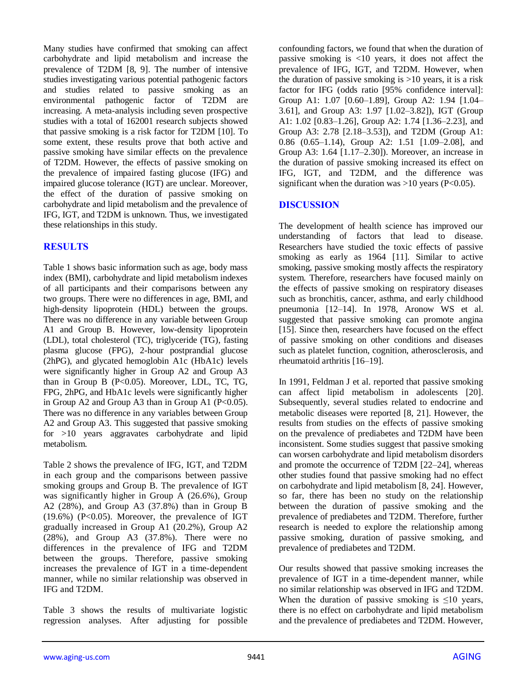Many studies have confirmed that smoking can affect carbohydrate and lipid metabolism and increase the prevalence of T2DM [8, 9]. The number of intensive studies investigating various potential pathogenic factors and studies related to passive smoking as an environmental pathogenic factor of T2DM are increasing. A meta-analysis including seven prospective studies with a total of 162001 research subjects showed that passive smoking is a risk factor for T2DM [10]. To some extent, these results prove that both active and passive smoking have similar effects on the prevalence of T2DM. However, the effects of passive smoking on the prevalence of impaired fasting glucose (IFG) and impaired glucose tolerance (IGT) are unclear. Moreover, the effect of the duration of passive smoking on carbohydrate and lipid metabolism and the prevalence of IFG, IGT, and T2DM is unknown. Thus, we investigated these relationships in this study.

## **RESULTS**

Table 1 shows basic information such as age, body mass index (BMI), carbohydrate and lipid metabolism indexes of all participants and their comparisons between any two groups. There were no differences in age, BMI, and high-density lipoprotein (HDL) between the groups. There was no difference in any variable between Group A1 and Group B. However, low-density lipoprotein (LDL), total cholesterol (TC), triglyceride (TG), fasting plasma glucose (FPG), 2-hour postprandial glucose (2hPG), and glycated hemoglobin A1c (HbA1c) levels were significantly higher in Group A2 and Group A3 than in Group B (P<0.05). Moreover, LDL, TC, TG, FPG, 2hPG, and HbA1c levels were significantly higher in Group A2 and Group A3 than in Group A1 ( $P<0.05$ ). There was no difference in any variables between Group A2 and Group A3. This suggested that passive smoking for >10 years aggravates carbohydrate and lipid metabolism.

Table 2 shows the prevalence of IFG, IGT, and T2DM in each group and the comparisons between passive smoking groups and Group B. The prevalence of IGT was significantly higher in Group A (26.6%), Group A2 (28%), and Group A3 (37.8%) than in Group B  $(19.6\%)$  (P<0.05). Moreover, the prevalence of IGT gradually increased in Group A1 (20.2%), Group A2 (28%), and Group A3 (37.8%). There were no differences in the prevalence of IFG and T2DM between the groups. Therefore, passive smoking increases the prevalence of IGT in a time-dependent manner, while no similar relationship was observed in IFG and T2DM.

Table 3 shows the results of multivariate logistic regression analyses. After adjusting for possible confounding factors, we found that when the duration of passive smoking is <10 years, it does not affect the prevalence of IFG, IGT, and T2DM. However, when the duration of passive smoking is  $>10$  years, it is a risk factor for IFG (odds ratio [95% confidence interval]: Group A1: 1.07 [0.60–1.89], Group A2: 1.94 [1.04– 3.61], and Group A3: 1.97 [1.02–3.82]), IGT (Group A1: 1.02 [0.83–1.26], Group A2: 1.74 [1.36–2.23], and Group A3: 2.78 [2.18–3.53]), and T2DM (Group A1: 0.86 (0.65–1.14), Group A2: 1.51 [1.09–2.08], and Group A3: 1.64 [1.17–2.30]). Moreover, an increase in the duration of passive smoking increased its effect on IFG, IGT, and T2DM, and the difference was significant when the duration was  $>10$  years (P<0.05).

### **DISCUSSION**

The development of health science has improved our understanding of factors that lead to disease. Researchers have studied the toxic effects of passive smoking as early as 1964 [11]. Similar to active smoking, passive smoking mostly affects the respiratory system. Therefore, researchers have focused mainly on the effects of passive smoking on respiratory diseases such as bronchitis, cancer, asthma, and early childhood pneumonia [12–14]. In 1978, Aronow WS et al. suggested that passive smoking can promote angina [15]. Since then, researchers have focused on the effect of passive smoking on other conditions and diseases such as platelet function, cognition, atherosclerosis, and rheumatoid arthritis [16–19].

In 1991, Feldman J et al. reported that passive smoking can affect lipid metabolism in adolescents [20]. Subsequently, several studies related to endocrine and metabolic diseases were reported [8, 21]. However, the results from studies on the effects of passive smoking on the prevalence of prediabetes and T2DM have been inconsistent. Some studies suggest that passive smoking can worsen carbohydrate and lipid metabolism disorders and promote the occurrence of T2DM [22–24], whereas other studies found that passive smoking had no effect on carbohydrate and lipid metabolism [8, 24]. However, so far, there has been no study on the relationship between the duration of passive smoking and the prevalence of prediabetes and T2DM. Therefore, further research is needed to explore the relationship among passive smoking, duration of passive smoking, and prevalence of prediabetes and T2DM.

Our results showed that passive smoking increases the prevalence of IGT in a time-dependent manner, while no similar relationship was observed in IFG and T2DM. When the duration of passive smoking is  $\leq 10$  years, there is no effect on carbohydrate and lipid metabolism and the prevalence of prediabetes and T2DM. However,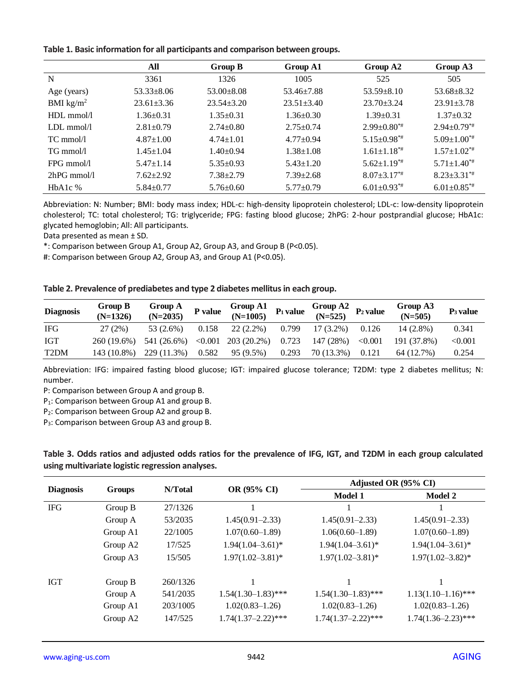|  | Table 1. Basic information for all participants and comparison between groups. |  |  |  |  |  |
|--|--------------------------------------------------------------------------------|--|--|--|--|--|
|--|--------------------------------------------------------------------------------|--|--|--|--|--|

|                       | All             | Group B         | Group A1         | Group A2                      | Group A3                      |
|-----------------------|-----------------|-----------------|------------------|-------------------------------|-------------------------------|
| N                     | 3361            | 1326            | 1005             | 525                           | 505                           |
| Age (years)           | $53.33 + 8.06$  | $53.00 + 8.08$  | $53.46 \pm 7.88$ | $53.59 + 8.10$                | $53.68 + 8.32$                |
| BMI $\text{kg/m}^2$   | $23.61 + 3.36$  | $23.54 + 3.20$  | $23.51 \pm 3.40$ | $23.70 \pm 3.24$              | $23.91 \pm 3.78$              |
| HDLmmol/l             | $1.36 \pm 0.31$ | $1.35 \pm 0.31$ | $1.36 \pm 0.30$  | $1.39 \pm 0.31$               | $1.37 \pm 0.32$               |
| LDLmmol/l             | $2.81 \pm 0.79$ | $2.74 \pm 0.80$ | $2.75 \pm 0.74$  | $2.99 \pm 0.80^{*}$           | $2.94 \pm 0.79$ <sup>**</sup> |
| $TC \, \text{mmol/l}$ | $4.87 \pm 1.00$ | $4.74 \pm 1.01$ | $4.77+0.94$      | $5.15 \pm 0.98$ <sup>**</sup> | $5.09 \pm 1.00^{*}$           |
| $TG \, \text{mmol/l}$ | $1.45 \pm 1.04$ | $1.40 \pm 0.94$ | $1.38 \pm 1.08$  | $1.61 \pm 1.18^{*}$           | $1.57 \pm 1.02$ <sup>**</sup> |
| $FPG$ mmol/l          | $5.47 \pm 1.14$ | $5.35 \pm 0.93$ | $5.43 \pm 1.20$  | $5.62 \pm 1.19^{**}$          | $5.71 \pm 1.40^{**}$          |
| $2hPG$ mmol/l         | $7.62 \pm 2.92$ | $7.38 \pm 2.79$ | $7.39 \pm 2.68$  | $8.07 \pm 3.17$ <sup>**</sup> | $8.23 \pm 3.31^{*}$           |
| $HbA1c$ %             | $5.84 \pm 0.77$ | $5.76 \pm 0.60$ | $5.77 \pm 0.79$  | $6.01 \pm 0.93$ <sup>**</sup> | $6.01 \pm 0.85$ **            |

Abbreviation: N: Number; BMI: body mass index; HDL-c: high-density lipoprotein cholesterol; LDL-c: low-density lipoprotein cholesterol; TC: total cholesterol; TG: triglyceride; FPG: fasting blood glucose; 2hPG: 2-hour postprandial glucose; HbA1c: glycated hemoglobin; All: All participants.

Data presented as mean ± SD.

\*: Comparison between Group A1, Group A2, Group A3, and Group B (P<0.05).

#: Comparison between Group A2, Group A3, and Group A1 (P<0.05).

#### **Table 2. Prevalence of prediabetes and type 2 diabetes mellitus in each group.**

| <b>Diagnosis</b>  | Group B<br>$(N=1326)$ | Group A<br>$(N=2035)$                              | P value | Group A1 $P_1$ value    |       | Group A2 $P_2$ value |         | Group A3<br>$(N=505)$ | $P_3$ value |
|-------------------|-----------------------|----------------------------------------------------|---------|-------------------------|-------|----------------------|---------|-----------------------|-------------|
| <b>IFG</b>        | 27(2%)                | 53 (2.6%)                                          |         | $0.158$ 22 (2.2%) 0.799 |       | 17 (3.2%)            | 0.126   | $14(2.8\%)$           | 0.341       |
| IGT               |                       | $260(19.6%)$ 541 (26.6%) < 0.001 203 (20.2%) 0.723 |         |                         |       | 147 (28%)            | < 0.001 | 191 (37.8%)           | < 0.001     |
| T <sub>2</sub> DM | 143 (10.8%)           | 229 (11.3%)                                        | 0.582   | 95 (9.5%)               | 0.293 | 70 (13.3%)           | 0.121   | 64 (12.7%)            | 0.254       |

Abbreviation: IFG: impaired fasting blood glucose; IGT: impaired glucose tolerance; T2DM: type 2 diabetes mellitus; N: number.

P: Comparison between Group A and group B.

P<sub>1</sub>: Comparison between Group A1 and group B.

P2: Comparison between Group A2 and group B.

P3: Comparison between Group A3 and group B.

|  |                                                  | Table 3. Odds ratios and adjusted odds ratios for the prevalence of IFG, IGT, and T2DM in each group calculated |  |  |  |  |
|--|--------------------------------------------------|-----------------------------------------------------------------------------------------------------------------|--|--|--|--|
|  | using multivariate logistic regression analyses. |                                                                                                                 |  |  |  |  |

| <b>Diagnosis</b> |          | N/Total  |                       | Adjusted OR (95% CI)  |                         |  |  |
|------------------|----------|----------|-----------------------|-----------------------|-------------------------|--|--|
|                  | Groups   |          | <b>OR (95% CI)</b>    | <b>Model 1</b>        | <b>Model 2</b>          |  |  |
| <b>IFG</b>       | Group B  | 27/1326  |                       |                       |                         |  |  |
|                  | Group A  | 53/2035  | $1.45(0.91 - 2.33)$   | $1.45(0.91 - 2.33)$   | $1.45(0.91 - 2.33)$     |  |  |
|                  | Group A1 | 22/1005  | $1.07(0.60 - 1.89)$   | $1.06(0.60-1.89)$     | $1.07(0.60-1.89)$       |  |  |
|                  | Group A2 | 17/525   | $1.94(1.04 - 3.61)^*$ | $1.94(1.04 - 3.61)^*$ | $1.94(1.04 - 3.61)^*$   |  |  |
|                  | Group A3 | 15/505   | $1.97(1.02 - 3.81)^*$ | $1.97(1.02 - 3.81)^*$ | $1.97(1.02 - 3.82)^*$   |  |  |
| IGT              | Group B  | 260/1326 |                       |                       |                         |  |  |
|                  | Group A  | 541/2035 | $1.54(1.30-1.83)$ *** | $1.54(1.30-1.83)$ *** | $1.13(1.10-1.16)$ ***   |  |  |
|                  | Group A1 | 203/1005 | $1.02(0.83 - 1.26)$   | $1.02(0.83 - 1.26)$   | $1.02(0.83 - 1.26)$     |  |  |
|                  | Group A2 | 147/525  | $1.74(1.37-2.22)***$  | $1.74(1.37-2.22)$ *** | $1.74(1.36 - 2.23)$ *** |  |  |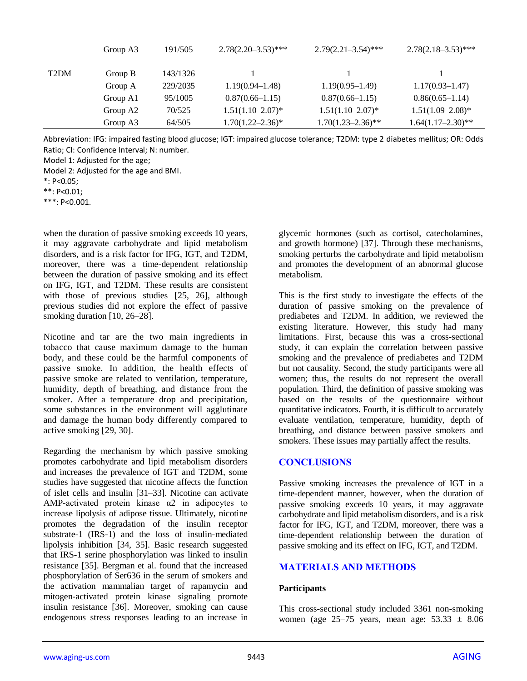|                   | Group A3 | 191/505  | $2.78(2.20 - 3.53)$ *** | $2.79(2.21 - 3.54)$ *** | $2.78(2.18 - 3.53)$ *** |
|-------------------|----------|----------|-------------------------|-------------------------|-------------------------|
| T <sub>2</sub> DM | Group B  | 143/1326 |                         |                         |                         |
|                   | Group A  | 229/2035 | $1.19(0.94 - 1.48)$     | $1.19(0.95-1.49)$       | $1.17(0.93 - 1.47)$     |
|                   | Group A1 | 95/1005  | $0.87(0.66 - 1.15)$     | $0.87(0.66 - 1.15)$     | $0.86(0.65-1.14)$       |
|                   | Group A2 | 70/525   | $1.51(1.10-2.07)^*$     | $1.51(1.10-2.07)^*$     | $1.51(1.09 - 2.08)^*$   |
|                   | Group A3 | 64/505   | $1.70(1.22 - 2.36)^*$   | $1.70(1.23 - 2.36)$ **  | $1.64(1.17-2.30)$ **    |

Abbreviation: IFG: impaired fasting blood glucose; IGT: impaired glucose tolerance; T2DM: type 2 diabetes mellitus; OR: Odds Ratio; CI: Confidence Interval; N: number.

Model 1: Adjusted for the age;

Model 2: Adjusted for the age and BMI.

\*\*: P<0.01;

\*\*\*: P<0.001.

when the duration of passive smoking exceeds 10 years, it may aggravate carbohydrate and lipid metabolism disorders, and is a risk factor for IFG, IGT, and T2DM, moreover, there was a time-dependent relationship between the duration of passive smoking and its effect on IFG, IGT, and T2DM. These results are consistent with those of previous studies [25, 26], although previous studies did not explore the effect of passive smoking duration [10, 26–28].

Nicotine and tar are the two main ingredients in tobacco that cause maximum damage to the human body, and these could be the harmful components of passive smoke. In addition, the health effects of passive smoke are related to ventilation, temperature, humidity, depth of breathing, and distance from the smoker. After a temperature drop and precipitation, some substances in the environment will agglutinate and damage the human body differently compared to active smoking [29, 30].

Regarding the mechanism by which passive smoking promotes carbohydrate and lipid metabolism disorders and increases the prevalence of IGT and T2DM, some studies have suggested that nicotine affects the function of islet cells and insulin [31–33]. Nicotine can activate AMP-activated protein kinase  $\alpha$ 2 in adipocytes to increase lipolysis of adipose tissue. Ultimately, nicotine promotes the degradation of the insulin receptor substrate-1 (IRS-1) and the loss of insulin-mediated lipolysis inhibition [34, 35]. Basic research suggested that IRS-1 serine phosphorylation was linked to insulin resistance [35]. Bergman et al. found that the increased phosphorylation of Ser636 in the serum of smokers and the activation mammalian target of rapamycin and mitogen-activated protein kinase signaling promote insulin resistance [36]. Moreover, smoking can cause endogenous stress responses leading to an increase in glycemic hormones (such as cortisol, catecholamines, and growth hormone) [37]. Through these mechanisms, smoking perturbs the carbohydrate and lipid metabolism and promotes the development of an abnormal glucose metabolism.

This is the first study to investigate the effects of the duration of passive smoking on the prevalence of prediabetes and T2DM. In addition, we reviewed the existing literature. However, this study had many limitations. First, because this was a cross-sectional study, it can explain the correlation between passive smoking and the prevalence of prediabetes and T2DM but not causality. Second, the study participants were all women; thus, the results do not represent the overall population. Third, the definition of passive smoking was based on the results of the questionnaire without quantitative indicators. Fourth, it is difficult to accurately evaluate ventilation, temperature, humidity, depth of breathing, and distance between passive smokers and smokers. These issues may partially affect the results.

#### **CONCLUSIONS**

Passive smoking increases the prevalence of IGT in a time-dependent manner, however, when the duration of passive smoking exceeds 10 years, it may aggravate carbohydrate and lipid metabolism disorders, and is a risk factor for IFG, IGT, and T2DM, moreover, there was a time-dependent relationship between the duration of passive smoking and its effect on IFG, IGT, and T2DM.

## **MATERIALS AND METHODS**

#### **Participants**

This cross-sectional study included 3361 non-smoking women (age  $25-75$  years, mean age:  $53.33 \pm 8.06$ 

<sup>\*:</sup> P<0.05;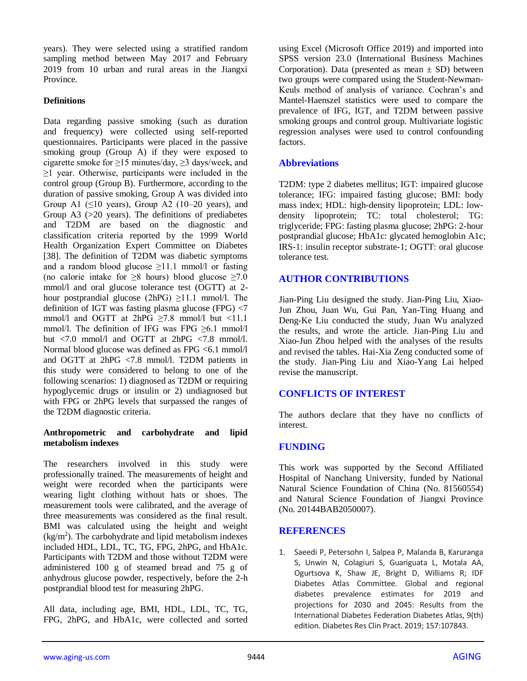years). They were selected using a stratified random sampling method between May 2017 and February 2019 from 10 urban and rural areas in the Jiangxi Province.

## **Definitions**

Data regarding passive smoking (such as duration and frequency) were collected using self-reported questionnaires. Participants were placed in the passive smoking group (Group A) if they were exposed to cigarette smoke for ≥15 minutes/day, ≥3 days/week, and  $\geq$ 1 year. Otherwise, participants were included in the control group (Group B). Furthermore, according to the duration of passive smoking, Group A was divided into Group A1  $(\leq 10$  years), Group A2  $(10-20$  years), and Group  $A3$  ( $>20$  years). The definitions of prediabetes and T2DM are based on the diagnostic and classification criteria reported by the 1999 World Health Organization Expert Committee on Diabetes [38]. The definition of T2DM was diabetic symptoms and a random blood glucose  $\geq$ 11.1 mmol/l or fasting (no calorie intake for  $\geq$ 8 hours) blood glucose  $\geq$ 7.0 mmol/l and oral glucose tolerance test (OGTT) at 2 hour postprandial glucose (2hPG)  $\geq$ 11.1 mmol/l. The definition of IGT was fasting plasma glucose (FPG) <7 mmol/l and OGTT at  $2hPG \ge 7.8$  mmol/l but  $\le 11.1$ mmol/l. The definition of IFG was FPG ≥6.1 mmol/l but  $\langle 7.0 \text{ mmol/l} \rangle$  and OGTT at 2hPG  $\langle 7.8 \text{ mmol/l} \rangle$ . Normal blood glucose was defined as FPG <6.1 mmol/l and OGTT at 2hPG <7.8 mmol/l. T2DM patients in this study were considered to belong to one of the following scenarios: 1) diagnosed as T2DM or requiring hypoglycemic drugs or insulin or 2) undiagnosed but with FPG or 2hPG levels that surpassed the ranges of the T2DM diagnostic criteria.

#### **Anthropometric and carbohydrate and lipid metabolism indexes**

The researchers involved in this study were professionally trained. The measurements of height and weight were recorded when the participants were wearing light clothing without hats or shoes. The measurement tools were calibrated, and the average of three measurements was considered as the final result. BMI was calculated using the height and weight  $(kg/m<sup>2</sup>)$ . The carbohydrate and lipid metabolism indexes included HDL, LDL, TC, TG, FPG, 2hPG, and HbA1c. Participants with T2DM and those without T2DM were administered 100 g of steamed bread and 75 g of anhydrous glucose powder, respectively, before the 2-h postprandial blood test for measuring 2hPG.

All data, including age, BMI, HDL, LDL, TC, TG, FPG, 2hPG, and HbA1c, were collected and sorted using Excel (Microsoft Office 2019) and imported into SPSS version 23.0 (International Business Machines Corporation). Data (presented as mean  $\pm$  SD) between two groups were compared using the Student-Newman-Keuls method of analysis of variance. Cochran's and Mantel-Haenszel statistics were used to compare the prevalence of IFG, IGT, and T2DM between passive smoking groups and control group. Multivariate logistic regression analyses were used to control confounding factors.

## **Abbreviations**

T2DM: type 2 diabetes mellitus; IGT: impaired glucose tolerance; IFG: impaired fasting glucose; BMI: body mass index; HDL: high-density lipoprotein; LDL: lowdensity lipoprotein; TC: total cholesterol; TG: triglyceride; FPG: fasting plasma glucose; 2hPG: 2-hour postprandial glucose; HbA1c: glycated hemoglobin A1c; IRS-1: insulin receptor substrate-1; OGTT: oral glucose tolerance test.

## **AUTHOR CONTRIBUTIONS**

Jian-Ping Liu designed the study. Jian-Ping Liu, Xiao-Jun Zhou, Juan Wu, Gui Pan, Yan-Ting Huang and Deng-Ke Liu conducted the study, Juan Wu analyzed the results, and wrote the article. Jian-Ping Liu and Xiao-Jun Zhou helped with the analyses of the results and revised the tables. Hai-Xia Zeng conducted some of the study. Jian-Ping Liu and Xiao-Yang Lai helped revise the manuscript.

## **CONFLICTS OF INTEREST**

The authors declare that they have no conflicts of interest.

## **FUNDING**

This work was supported by the Second Affiliated Hospital of Nanchang University, funded by National Natural Science Foundation of China (No. 81560554) and Natural Science Foundation of Jiangxi Province (No. 20144BAB2050007).

#### **REFERENCES**

1. Saeedi P, Petersohn I, Salpea P, Malanda B, Karuranga S, Unwin N, Colagiuri S, Guariguata L, Motala AA, Ogurtsova K, Shaw JE, Bright D, Williams R; IDF Diabetes Atlas Committee. Global and regional diabetes prevalence estimates for 2019 and projections for 2030 and 2045: Results from the International Diabetes Federation Diabetes Atlas, 9(th) edition. Diabetes Res Clin Pract. 2019; 157:107843.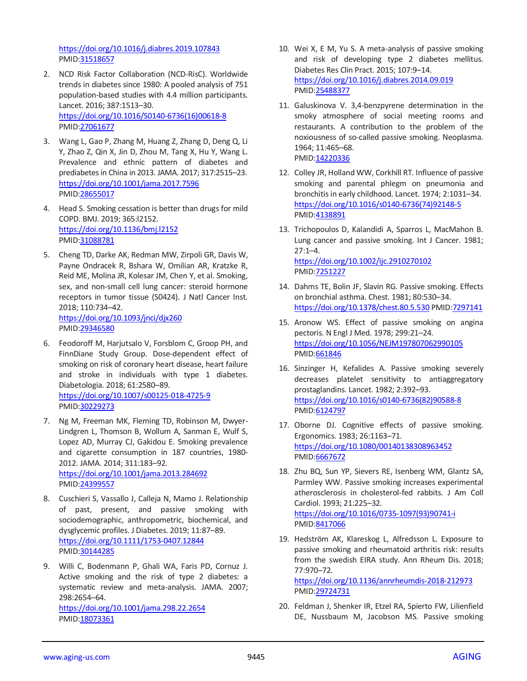<https://doi.org/10.1016/j.diabres.2019.107843> PMID[:31518657](https://www.ncbi.nlm.nih.gov/pubmed/31518657)

- 2. NCD Risk Factor Collaboration (NCD-RisC). Worldwide trends in diabetes since 1980: A pooled analysis of 751 population-based studies with 4.4 million participants. Lancet. 2016; 387:1513–30. [https://doi.org/10.1016/S0140-6736\(16\)00618-8](https://doi.org/10.1016/S0140-6736(16)00618-8) PMID[:27061677](https://pubmed.ncbi.nlm.nih.gov/27061677)
- 3. Wang L, Gao P, Zhang M, Huang Z, Zhang D, Deng Q, Li Y, Zhao Z, Qin X, Jin D, Zhou M, Tang X, Hu Y, Wang L. Prevalence and ethnic pattern of diabetes and prediabetes in China in 2013. JAMA. 2017; 317:2515–23. <https://doi.org/10.1001/jama.2017.7596> PMID[:28655017](https://pubmed.ncbi.nlm.nih.gov/28655017)
- 4. Head S. Smoking cessation is better than drugs for mild COPD. BMJ. 2019; 365:l2152. <https://doi.org/10.1136/bmj.l2152> PMID[:31088781](https://pubmed.ncbi.nlm.nih.gov/31088781)
- 5. Cheng TD, Darke AK, Redman MW, Zirpoli GR, Davis W, Payne Ondracek R, Bshara W, Omilian AR, Kratzke R, Reid ME, Molina JR, Kolesar JM, Chen Y, et al. Smoking, sex, and non-small cell lung cancer: steroid hormone receptors in tumor tissue (S0424). J Natl Cancer Inst. 2018; 110:734–42. <https://doi.org/10.1093/jnci/djx260> PMID[:29346580](https://pubmed.ncbi.nlm.nih.gov/29346580)
- 6. Feodoroff M, Harjutsalo V, Forsblom C, Groop PH, and FinnDiane Study Group. Dose-dependent effect of smoking on risk of coronary heart disease, heart failure and stroke in individuals with type 1 diabetes. Diabetologia. 2018; 61:2580–89. <https://doi.org/10.1007/s00125-018-4725-9> PMID[:30229273](https://pubmed.ncbi.nlm.nih.gov/30229273)
- 7. Ng M, Freeman MK, Fleming TD, Robinson M, Dwyer-Lindgren L, Thomson B, Wollum A, Sanman E, Wulf S, Lopez AD, Murray CJ, Gakidou E. Smoking prevalence and cigarette consumption in 187 countries, 1980- 2012. JAMA. 2014; 311:183–92. <https://doi.org/10.1001/jama.2013.284692> PMID[:24399557](https://pubmed.ncbi.nlm.nih.gov/24399557)
- 8. Cuschieri S, Vassallo J, Calleja N, Mamo J. Relationship of past, present, and passive smoking with sociodemographic, anthropometric, biochemical, and dysglycemic profiles. J Diabetes. 2019; 11:87–89. <https://doi.org/10.1111/1753-0407.12844> PMID[:30144285](https://pubmed.ncbi.nlm.nih.gov/30144285)
- 9. Willi C, Bodenmann P, Ghali WA, Faris PD, Cornuz J. Active smoking and the risk of type 2 diabetes: a systematic review and meta-analysis. JAMA. 2007; 298:2654–64. <https://doi.org/10.1001/jama.298.22.2654> PMID[:18073361](https://pubmed.ncbi.nlm.nih.gov/18073361)
- 10. Wei X, E M, Yu S. A meta-analysis of passive smoking and risk of developing type 2 diabetes mellitus. Diabetes Res Clin Pract. 2015; 107:9–14. <https://doi.org/10.1016/j.diabres.2014.09.019> PMI[D:25488377](https://pubmed.ncbi.nlm.nih.gov/25488377)
- 11. Galuskinova V. 3,4-benzpyrene determination in the smoky atmosphere of social meeting rooms and restaurants. A contribution to the problem of the noxiousness of so-called passive smoking. Neoplasma. 1964; 11:465–68. PMI[D:14220336](https://pubmed.ncbi.nlm.nih.gov/14220336)
- 12. Colley JR, Holland WW, Corkhill RT. Influence of passive smoking and parental phlegm on pneumonia and bronchitis in early childhood. Lancet. 1974; 2:1031–34. [https://doi.org/10.1016/s0140-6736\(74\)92148-5](https://doi.org/10.1016/s0140-6736(74)92148-5) PMI[D:4138891](https://pubmed.ncbi.nlm.nih.gov/4138891)
- 13. Trichopoulos D, Kalandidi A, Sparros L, MacMahon B. Lung cancer and passive smoking. Int J Cancer. 1981;  $27:1 - 4.$ <https://doi.org/10.1002/ijc.2910270102> PMI[D:7251227](https://pubmed.ncbi.nlm.nih.gov/7251227)
- 14. Dahms TE, Bolin JF, Slavin RG. Passive smoking. Effects on bronchial asthma. Chest. 1981; 80:530–34. <https://doi.org/10.1378/chest.80.5.530> PMI[D:7297141](https://pubmed.ncbi.nlm.nih.gov/7297141)
- 15. Aronow WS. Effect of passive smoking on angina pectoris. N Engl J Med. 1978; 299:21–24. <https://doi.org/10.1056/NEJM197807062990105> PMI[D:661846](https://pubmed.ncbi.nlm.nih.gov/661846)
- 16. Sinzinger H, Kefalides A. Passive smoking severely decreases platelet sensitivity to antiaggregatory prostaglandins. Lancet. 1982; 2:392–93. [https://doi.org/10.1016/s0140-6736\(82\)90588-8](https://doi.org/10.1016/s0140-6736(82)90588-8) PMI[D:6124797](https://pubmed.ncbi.nlm.nih.gov/6124797)
- 17. Oborne DJ. Cognitive effects of passive smoking. Ergonomics. 1983; 26:1163–71. <https://doi.org/10.1080/00140138308963452> PMI[D:6667672](https://pubmed.ncbi.nlm.nih.gov/6667672)
- 18. Zhu BQ, Sun YP, Sievers RE, Isenberg WM, Glantz SA, Parmley WW. Passive smoking increases experimental atherosclerosis in cholesterol-fed rabbits. J Am Coll Cardiol. 1993; 21:225–32. [https://doi.org/10.1016/0735-1097\(93\)90741-i](https://doi.org/10.1016/0735-1097(93)90741-i) PMI[D:8417066](https://pubmed.ncbi.nlm.nih.gov/8417066)
- 19. Hedström AK, Klareskog L, Alfredsson L. Exposure to passive smoking and rheumatoid arthritis risk: results from the swedish EIRA study. Ann Rheum Dis. 2018; 77:970–72. <https://doi.org/10.1136/annrheumdis-2018-212973> PMI[D:29724731](https://pubmed.ncbi.nlm.nih.gov/29724731)
- 20. Feldman J, Shenker IR, Etzel RA, Spierto FW, Lilienfield DE, Nussbaum M, Jacobson MS. Passive smoking